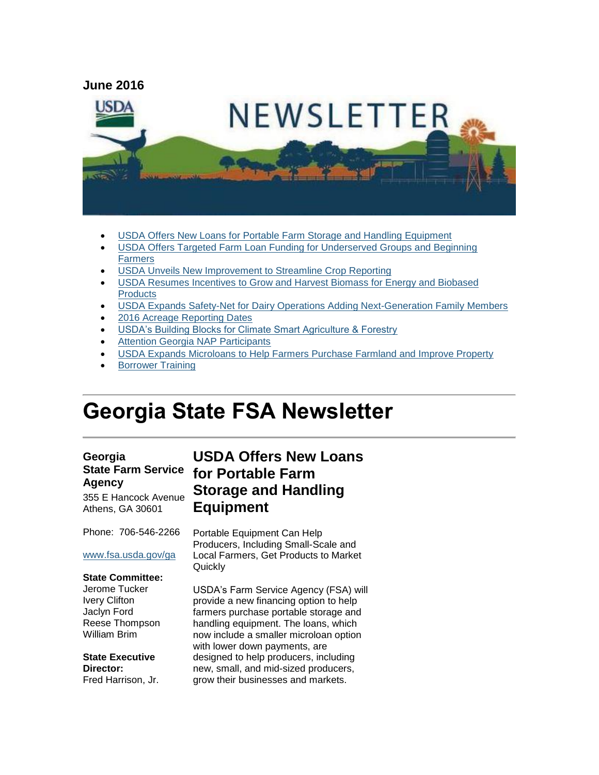

- [USDA Offers New Loans for Portable Farm Storage and Handling Equipment](#page-0-0)
- [USDA Offers Targeted Farm Loan Funding for Underserved Groups and Beginning](#page-1-0)  **[Farmers](#page-1-0)**
- [USDA Unveils New Improvement to Streamline Crop Reporting](#page-2-0)
- [USDA Resumes Incentives to Grow and Harvest Biomass for Energy and Biobased](#page-3-0)  **[Products](#page-3-0)**
- [USDA Expands Safety-Net for Dairy Operations Adding Next-Generation Family Members](#page-3-1)
- [2016 Acreage Reporting Dates](#page-4-0)
- [USDA's Building Blocks for Climate Smart Agriculture & Forestry](#page-5-0)
- [Attention Georgia NAP Participants](#page-5-1)
- [USDA Expands Microloans to Help Farmers Purchase Farmland and Improve Property](#page-5-2)
- [Borrower Training](#page-6-0)

# **Georgia State FSA Newsletter**

#### **Georgia State Farm Service Agency**

355 E Hancock Avenue Athens, GA 30601

Phone: 706-546-2266

#### [www.fsa.usda.gov/ga](http://www.fsa.usda.gov/ga)

#### **State Committee:**

Jerome Tucker Ivery Clifton Jaclyn Ford Reese Thompson William Brim

**State Executive Director:** Fred Harrison, Jr.

# <span id="page-0-0"></span>**USDA Offers New Loans for Portable Farm Storage and Handling Equipment**

Portable Equipment Can Help Producers, Including Small-Scale and Local Farmers, Get Products to Market Quickly

USDA's Farm Service Agency (FSA) will provide a new financing option to help farmers purchase portable storage and handling equipment. The loans, which now include a smaller microloan option with lower down payments, are designed to help producers, including new, small, and mid-sized producers, grow their businesses and markets.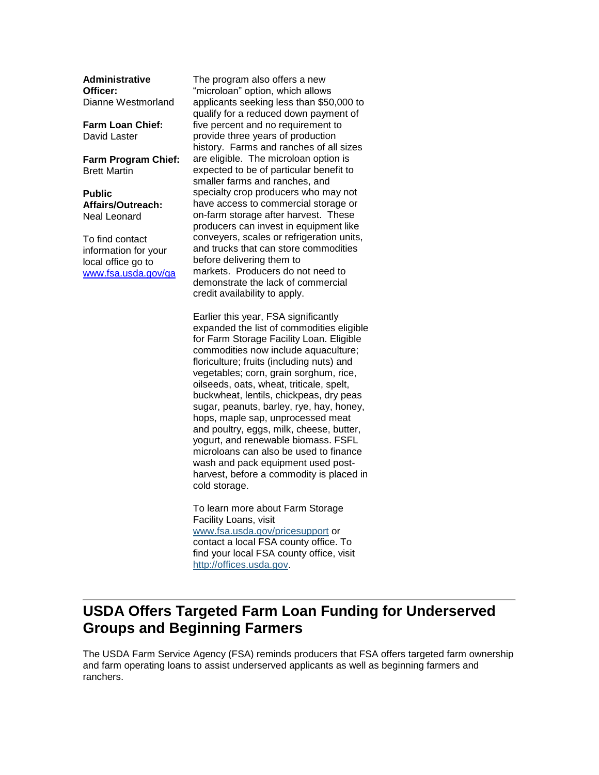**Administrative Officer:** Dianne Westmorland

**Farm Loan Chief:** David Laster

**Farm Program Chief:** Brett Martin

**Public Affairs/Outreach:** Neal Leonard

To find contact information for your local office go to [www.fsa.usda.gov/ga](http://www.fsa.usda.gov/ga)

The program also offers a new "microloan" option, which allows applicants seeking less than \$50,000 to qualify for a reduced down payment of five percent and no requirement to provide three years of production history. Farms and ranches of all sizes are eligible. The microloan option is expected to be of particular benefit to smaller farms and ranches, and specialty crop producers who may not have access to commercial storage or on-farm storage after harvest. These producers can invest in equipment like conveyers, scales or refrigeration units, and trucks that can store commodities before delivering them to markets. Producers do not need to demonstrate the lack of commercial credit availability to apply.

Earlier this year, FSA significantly expanded the list of commodities eligible for Farm Storage Facility Loan. Eligible commodities now include aquaculture; floriculture; fruits (including nuts) and vegetables; corn, grain sorghum, rice, oilseeds, oats, wheat, triticale, spelt, buckwheat, lentils, chickpeas, dry peas sugar, peanuts, barley, rye, hay, honey, hops, maple sap, unprocessed meat and poultry, eggs, milk, cheese, butter, yogurt, and renewable biomass. FSFL microloans can also be used to finance wash and pack equipment used postharvest, before a commodity is placed in cold storage.

To learn more about Farm Storage Facility Loans, visit [www.fsa.usda.gov/pricesupport](http://www.fsa.usda.gov/pricesupport) or contact a local FSA county office. To find your local FSA county office, visit [http://offices.usda.gov.](http://offices.usda.gov/)

# <span id="page-1-0"></span>**USDA Offers Targeted Farm Loan Funding for Underserved Groups and Beginning Farmers**

The USDA Farm Service Agency (FSA) reminds producers that FSA offers targeted farm ownership and farm operating loans to assist underserved applicants as well as beginning farmers and ranchers.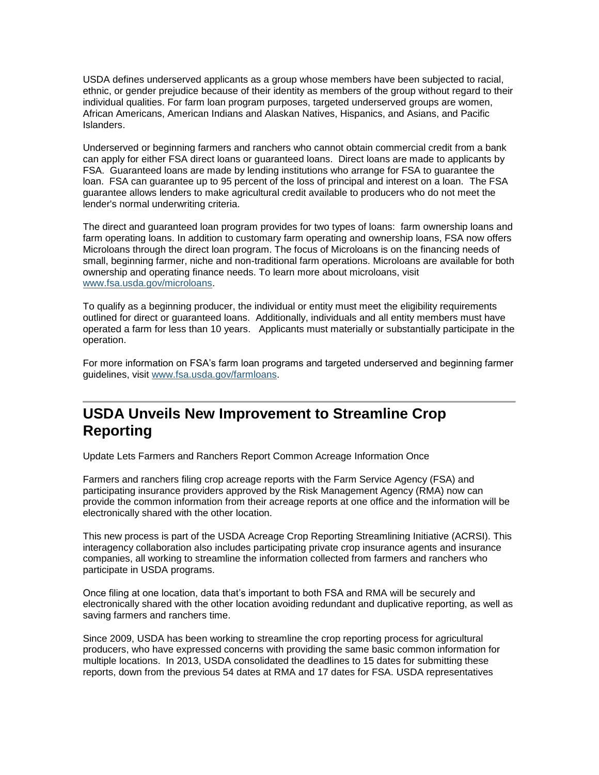USDA defines underserved applicants as a group whose members have been subjected to racial, ethnic, or gender prejudice because of their identity as members of the group without regard to their individual qualities. For farm loan program purposes, targeted underserved groups are women, African Americans, American Indians and Alaskan Natives, Hispanics, and Asians, and Pacific Islanders.

Underserved or beginning farmers and ranchers who cannot obtain commercial credit from a bank can apply for either FSA direct loans or guaranteed loans. Direct loans are made to applicants by FSA. Guaranteed loans are made by lending institutions who arrange for FSA to guarantee the loan. FSA can guarantee up to 95 percent of the loss of principal and interest on a loan. The FSA guarantee allows lenders to make agricultural credit available to producers who do not meet the lender's normal underwriting criteria.

The direct and guaranteed loan program provides for two types of loans: farm ownership loans and farm operating loans. In addition to customary farm operating and ownership loans, FSA now offers Microloans through the direct loan program. The focus of Microloans is on the financing needs of small, beginning farmer, niche and non-traditional farm operations. Microloans are available for both ownership and operating finance needs. To learn more about microloans, visit [www.fsa.usda.gov/microloans.](http://www.fsa.usda.gov/microloans)

To qualify as a beginning producer, the individual or entity must meet the eligibility requirements outlined for direct or guaranteed loans. Additionally, individuals and all entity members must have operated a farm for less than 10 years. Applicants must materially or substantially participate in the operation.

For more information on FSA's farm loan programs and targeted underserved and beginning farmer guidelines, visit [www.fsa.usda.gov/farmloans.](http://www.fsa.usda.gov/farmloans)

# <span id="page-2-0"></span>**USDA Unveils New Improvement to Streamline Crop Reporting**

Update Lets Farmers and Ranchers Report Common Acreage Information Once

Farmers and ranchers filing crop acreage reports with the Farm Service Agency (FSA) and participating insurance providers approved by the Risk Management Agency (RMA) now can provide the common information from their acreage reports at one office and the information will be electronically shared with the other location.

This new process is part of the USDA Acreage Crop Reporting Streamlining Initiative (ACRSI). This interagency collaboration also includes participating private crop insurance agents and insurance companies, all working to streamline the information collected from farmers and ranchers who participate in USDA programs.

Once filing at one location, data that's important to both FSA and RMA will be securely and electronically shared with the other location avoiding redundant and duplicative reporting, as well as saving farmers and ranchers time.

Since 2009, USDA has been working to streamline the crop reporting process for agricultural producers, who have expressed concerns with providing the same basic common information for multiple locations. In 2013, USDA consolidated the deadlines to 15 dates for submitting these reports, down from the previous 54 dates at RMA and 17 dates for FSA. USDA representatives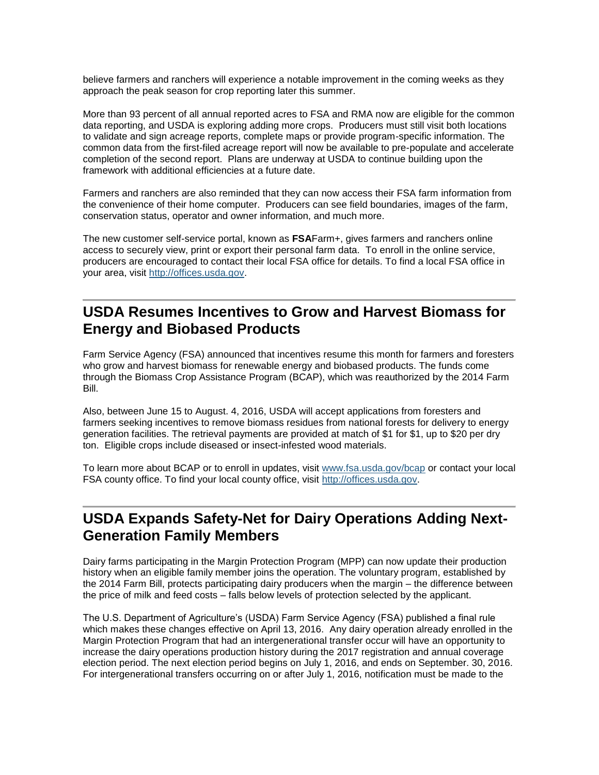believe farmers and ranchers will experience a notable improvement in the coming weeks as they approach the peak season for crop reporting later this summer.

More than 93 percent of all annual reported acres to FSA and RMA now are eligible for the common data reporting, and USDA is exploring adding more crops. Producers must still visit both locations to validate and sign acreage reports, complete maps or provide program-specific information. The common data from the first-filed acreage report will now be available to pre-populate and accelerate completion of the second report. Plans are underway at USDA to continue building upon the framework with additional efficiencies at a future date.

Farmers and ranchers are also reminded that they can now access their FSA farm information from the convenience of their home computer. Producers can see field boundaries, images of the farm, conservation status, operator and owner information, and much more.

The new customer self-service portal, known as **FSA**Farm+, gives farmers and ranchers online access to securely view, print or export their personal farm data. To enroll in the online service, producers are encouraged to contact their local FSA office for details. To find a local FSA office in your area, visit [http://offices.usda.gov.](http://offices.usda.gov/)

## <span id="page-3-0"></span>**USDA Resumes Incentives to Grow and Harvest Biomass for Energy and Biobased Products**

Farm Service Agency (FSA) announced that incentives resume this month for farmers and foresters who grow and harvest biomass for renewable energy and biobased products. The funds come through the Biomass Crop Assistance Program (BCAP), which was reauthorized by the 2014 Farm Bill.

Also, between June 15 to August. 4, 2016, USDA will accept applications from foresters and farmers seeking incentives to remove biomass residues from national forests for delivery to energy generation facilities. The retrieval payments are provided at match of \$1 for \$1, up to \$20 per dry ton. Eligible crops include diseased or insect-infested wood materials.

To learn more about BCAP or to enroll in updates, visit [www.fsa.usda.gov/bcap](http://www.fsa.usda.gov/bcap) or contact your local FSA county office. To find your local county office, visit [http://offices.usda.gov.](http://offices.usda.gov/)

## <span id="page-3-1"></span>**USDA Expands Safety-Net for Dairy Operations Adding Next-Generation Family Members**

Dairy farms participating in the Margin Protection Program (MPP) can now update their production history when an eligible family member joins the operation. The voluntary program, established by the 2014 Farm Bill, protects participating dairy producers when the margin – the difference between the price of milk and feed costs – falls below levels of protection selected by the applicant.

The U.S. Department of Agriculture's (USDA) Farm Service Agency (FSA) published a final rule which makes these changes effective on April 13, 2016. Any dairy operation already enrolled in the Margin Protection Program that had an intergenerational transfer occur will have an opportunity to increase the dairy operations production history during the 2017 registration and annual coverage election period. The next election period begins on July 1, 2016, and ends on September. 30, 2016. For intergenerational transfers occurring on or after July 1, 2016, notification must be made to the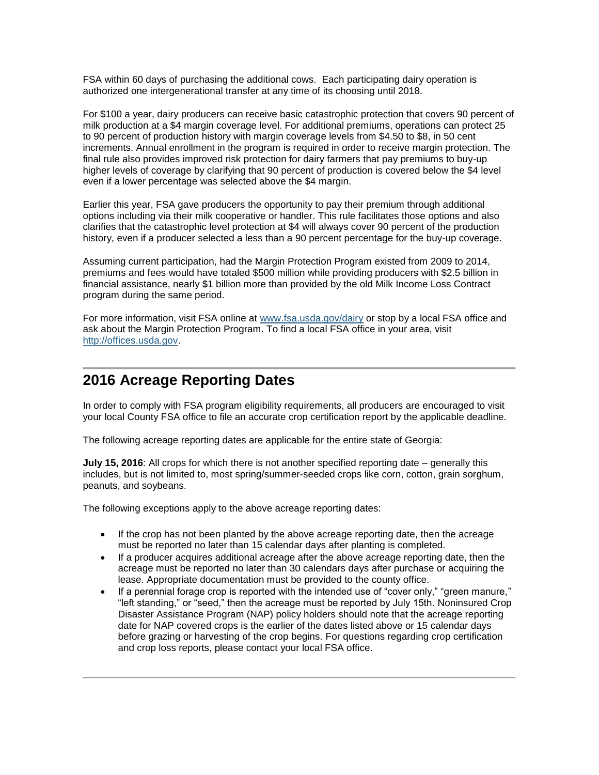FSA within 60 days of purchasing the additional cows. Each participating dairy operation is authorized one intergenerational transfer at any time of its choosing until 2018.

For \$100 a year, dairy producers can receive basic catastrophic protection that covers 90 percent of milk production at a \$4 margin coverage level. For additional premiums, operations can protect 25 to 90 percent of production history with margin coverage levels from \$4.50 to \$8, in 50 cent increments. Annual enrollment in the program is required in order to receive margin protection. The final rule also provides improved risk protection for dairy farmers that pay premiums to buy-up higher levels of coverage by clarifying that 90 percent of production is covered below the \$4 level even if a lower percentage was selected above the \$4 margin.

Earlier this year, FSA gave producers the opportunity to pay their premium through additional options including via their milk cooperative or handler. This rule facilitates those options and also clarifies that the catastrophic level protection at \$4 will always cover 90 percent of the production history, even if a producer selected a less than a 90 percent percentage for the buy-up coverage.

Assuming current participation, had the Margin Protection Program existed from 2009 to 2014, premiums and fees would have totaled \$500 million while providing producers with \$2.5 billion in financial assistance, nearly \$1 billion more than provided by the old Milk Income Loss Contract program during the same period.

For more information, visit FSA online at [www.fsa.usda.gov/dairy](http://www.fsa.usda.gov/dairy) or stop by a local FSA office and ask about the Margin Protection Program. To find a local FSA office in your area, visit [http://offices.usda.gov.](http://offices.usda.gov/)

#### <span id="page-4-0"></span>**2016 Acreage Reporting Dates**

In order to comply with FSA program eligibility requirements, all producers are encouraged to visit your local County FSA office to file an accurate crop certification report by the applicable deadline.

The following acreage reporting dates are applicable for the entire state of Georgia:

**July 15, 2016**: All crops for which there is not another specified reporting date – generally this includes, but is not limited to, most spring/summer-seeded crops like corn, cotton, grain sorghum, peanuts, and soybeans.

The following exceptions apply to the above acreage reporting dates:

- If the crop has not been planted by the above acreage reporting date, then the acreage must be reported no later than 15 calendar days after planting is completed.
- If a producer acquires additional acreage after the above acreage reporting date, then the acreage must be reported no later than 30 calendars days after purchase or acquiring the lease. Appropriate documentation must be provided to the county office.
- If a perennial forage crop is reported with the intended use of "cover only," "green manure," "left standing," or "seed," then the acreage must be reported by July 15th. Noninsured Crop Disaster Assistance Program (NAP) policy holders should note that the acreage reporting date for NAP covered crops is the earlier of the dates listed above or 15 calendar days before grazing or harvesting of the crop begins. For questions regarding crop certification and crop loss reports, please contact your local FSA office.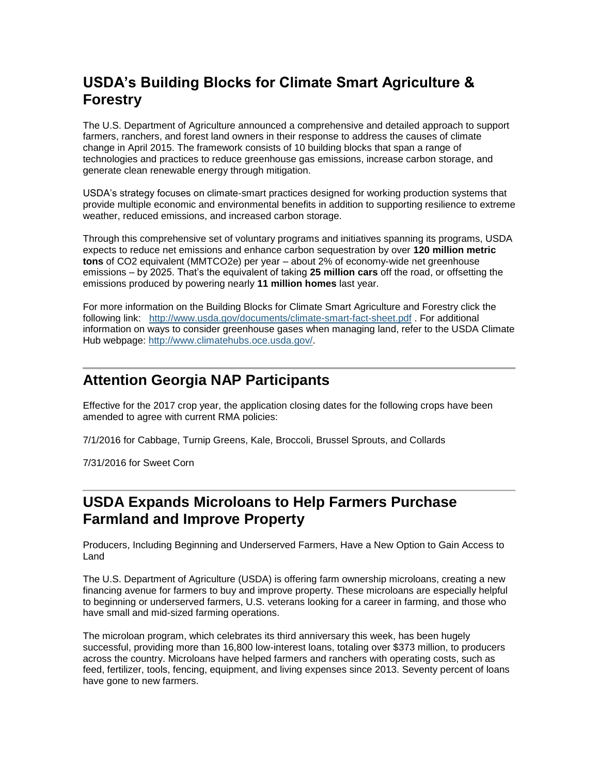# <span id="page-5-0"></span>**USDA's Building Blocks for Climate Smart Agriculture & Forestry**

The U.S. Department of Agriculture announced a comprehensive and detailed approach to support farmers, ranchers, and forest land owners in their response to address the causes of climate change in April 2015. The framework consists of 10 building blocks that span a range of technologies and practices to reduce greenhouse gas emissions, increase carbon storage, and generate clean renewable energy through mitigation.

USDA's strategy focuses on climate-smart practices designed for working production systems that provide multiple economic and environmental benefits in addition to supporting resilience to extreme weather, reduced emissions, and increased carbon storage.

Through this comprehensive set of voluntary programs and initiatives spanning its programs, USDA expects to reduce net emissions and enhance carbon sequestration by over **120 million metric tons** of CO2 equivalent (MMTCO2e) per year – about 2% of economy-wide net greenhouse emissions – by 2025. That's the equivalent of taking **25 million cars** off the road, or offsetting the emissions produced by powering nearly **11 million homes** last year.

For more information on the Building Blocks for Climate Smart Agriculture and Forestry click the following link: <http://www.usda.gov/documents/climate-smart-fact-sheet.pdf> . For additional information on ways to consider greenhouse gases when managing land, refer to the USDA Climate Hub webpage: [http://www.climatehubs.oce.usda.gov/.](http://www.climatehubs.oce.usda.gov/)

# <span id="page-5-1"></span>**Attention Georgia NAP Participants**

Effective for the 2017 crop year, the application closing dates for the following crops have been amended to agree with current RMA policies:

7/1/2016 for Cabbage, Turnip Greens, Kale, Broccoli, Brussel Sprouts, and Collards

7/31/2016 for Sweet Corn

## <span id="page-5-2"></span>**USDA Expands Microloans to Help Farmers Purchase Farmland and Improve Property**

Producers, Including Beginning and Underserved Farmers, Have a New Option to Gain Access to Land

The U.S. Department of Agriculture (USDA) is offering farm ownership microloans, creating a new financing avenue for farmers to buy and improve property. These microloans are especially helpful to beginning or underserved farmers, U.S. veterans looking for a career in farming, and those who have small and mid-sized farming operations.

The microloan program, which celebrates its third anniversary this week, has been hugely successful, providing more than 16,800 low-interest loans, totaling over \$373 million, to producers across the country. Microloans have helped farmers and ranchers with operating costs, such as feed, fertilizer, tools, fencing, equipment, and living expenses since 2013. Seventy percent of loans have gone to new farmers.